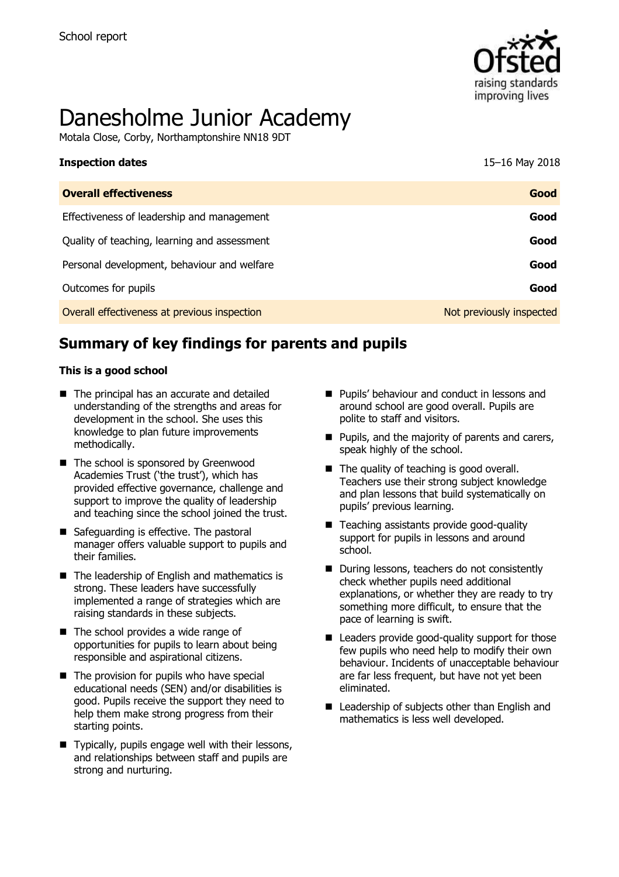

# Danesholme Junior Academy

Motala Close, Corby, Northamptonshire NN18 9DT

| <b>Inspection dates</b>                      | 15-16 May 2018           |
|----------------------------------------------|--------------------------|
| <b>Overall effectiveness</b>                 | Good                     |
| Effectiveness of leadership and management   | Good                     |
| Quality of teaching, learning and assessment | Good                     |
| Personal development, behaviour and welfare  | Good                     |
| Outcomes for pupils                          | Good                     |
| Overall effectiveness at previous inspection | Not previously inspected |

# **Summary of key findings for parents and pupils**

#### **This is a good school**

- The principal has an accurate and detailed understanding of the strengths and areas for development in the school. She uses this knowledge to plan future improvements methodically.
- The school is sponsored by Greenwood Academies Trust ('the trust'), which has provided effective governance, challenge and support to improve the quality of leadership and teaching since the school joined the trust.
- Safeguarding is effective. The pastoral manager offers valuable support to pupils and their families.
- The leadership of English and mathematics is strong. These leaders have successfully implemented a range of strategies which are raising standards in these subjects.
- The school provides a wide range of opportunities for pupils to learn about being responsible and aspirational citizens.
- $\blacksquare$  The provision for pupils who have special educational needs (SEN) and/or disabilities is good. Pupils receive the support they need to help them make strong progress from their starting points.
- Typically, pupils engage well with their lessons, and relationships between staff and pupils are strong and nurturing.
- **Pupils' behaviour and conduct in lessons and** around school are good overall. Pupils are polite to staff and visitors.
- $\blacksquare$  Pupils, and the majority of parents and carers, speak highly of the school.
- The quality of teaching is good overall. Teachers use their strong subject knowledge and plan lessons that build systematically on pupils' previous learning.
- Teaching assistants provide good-quality support for pupils in lessons and around school.
- During lessons, teachers do not consistently check whether pupils need additional explanations, or whether they are ready to try something more difficult, to ensure that the pace of learning is swift.
- Leaders provide good-quality support for those few pupils who need help to modify their own behaviour. Incidents of unacceptable behaviour are far less frequent, but have not yet been eliminated.
- $\blacksquare$  Leadership of subjects other than English and mathematics is less well developed.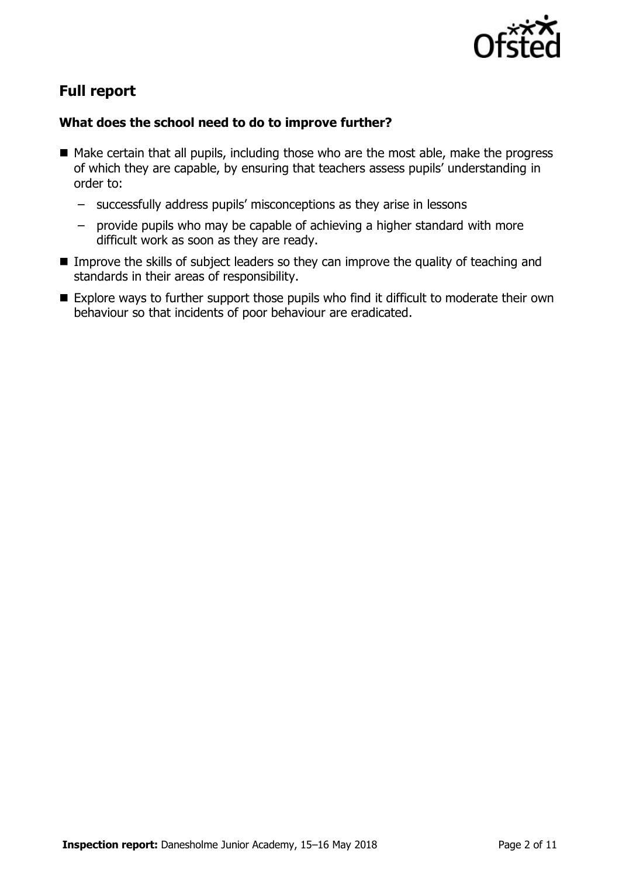

# **Full report**

#### **What does the school need to do to improve further?**

- Make certain that all pupils, including those who are the most able, make the progress of which they are capable, by ensuring that teachers assess pupils' understanding in order to:
	- successfully address pupils' misconceptions as they arise in lessons
	- provide pupils who may be capable of achieving a higher standard with more difficult work as soon as they are ready.
- **IMPROVE THE SKILL THE SKILLS** of subject leaders so they can improve the quality of teaching and standards in their areas of responsibility.
- Explore ways to further support those pupils who find it difficult to moderate their own behaviour so that incidents of poor behaviour are eradicated.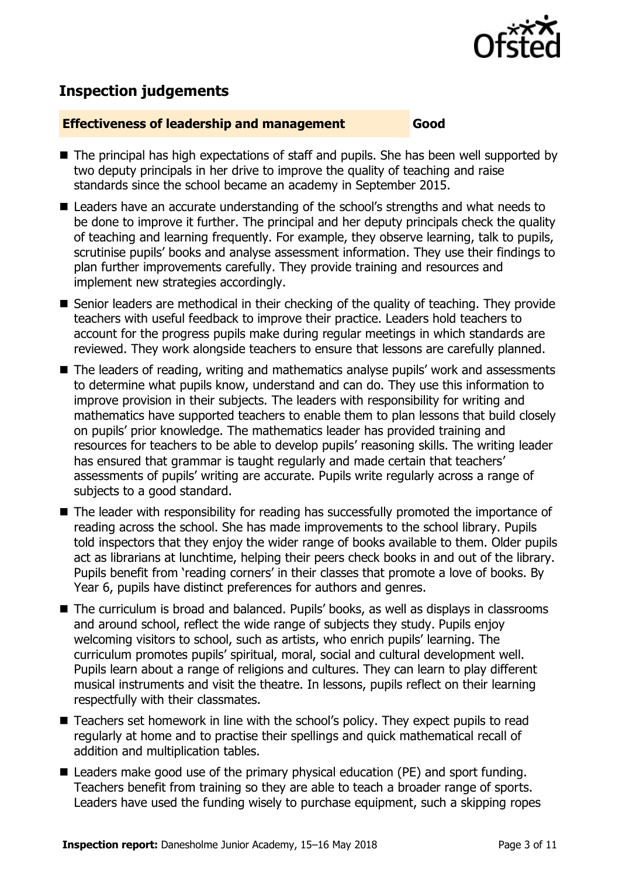

# **Inspection judgements**

#### **Effectiveness of leadership and management Good**

- The principal has high expectations of staff and pupils. She has been well supported by two deputy principals in her drive to improve the quality of teaching and raise standards since the school became an academy in September 2015.
- Leaders have an accurate understanding of the school's strengths and what needs to be done to improve it further. The principal and her deputy principals check the quality of teaching and learning frequently. For example, they observe learning, talk to pupils, scrutinise pupils' books and analyse assessment information. They use their findings to plan further improvements carefully. They provide training and resources and implement new strategies accordingly.
- Senior leaders are methodical in their checking of the quality of teaching. They provide teachers with useful feedback to improve their practice. Leaders hold teachers to account for the progress pupils make during regular meetings in which standards are reviewed. They work alongside teachers to ensure that lessons are carefully planned.
- The leaders of reading, writing and mathematics analyse pupils' work and assessments to determine what pupils know, understand and can do. They use this information to improve provision in their subjects. The leaders with responsibility for writing and mathematics have supported teachers to enable them to plan lessons that build closely on pupils' prior knowledge. The mathematics leader has provided training and resources for teachers to be able to develop pupils' reasoning skills. The writing leader has ensured that grammar is taught regularly and made certain that teachers' assessments of pupils' writing are accurate. Pupils write regularly across a range of subjects to a good standard.
- The leader with responsibility for reading has successfully promoted the importance of reading across the school. She has made improvements to the school library. Pupils told inspectors that they enjoy the wider range of books available to them. Older pupils act as librarians at lunchtime, helping their peers check books in and out of the library. Pupils benefit from 'reading corners' in their classes that promote a love of books. By Year 6, pupils have distinct preferences for authors and genres.
- The curriculum is broad and balanced. Pupils' books, as well as displays in classrooms and around school, reflect the wide range of subjects they study. Pupils enjoy welcoming visitors to school, such as artists, who enrich pupils' learning. The curriculum promotes pupils' spiritual, moral, social and cultural development well. Pupils learn about a range of religions and cultures. They can learn to play different musical instruments and visit the theatre. In lessons, pupils reflect on their learning respectfully with their classmates.
- Teachers set homework in line with the school's policy. They expect pupils to read regularly at home and to practise their spellings and quick mathematical recall of addition and multiplication tables.
- Leaders make good use of the primary physical education (PE) and sport funding. Teachers benefit from training so they are able to teach a broader range of sports. Leaders have used the funding wisely to purchase equipment, such a skipping ropes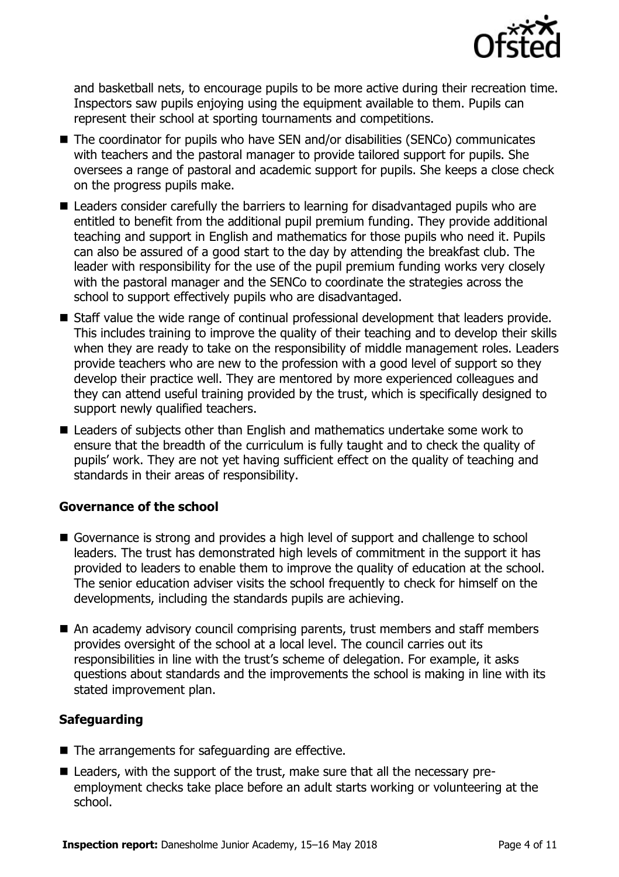

and basketball nets, to encourage pupils to be more active during their recreation time. Inspectors saw pupils enjoying using the equipment available to them. Pupils can represent their school at sporting tournaments and competitions.

- The coordinator for pupils who have SEN and/or disabilities (SENCo) communicates with teachers and the pastoral manager to provide tailored support for pupils. She oversees a range of pastoral and academic support for pupils. She keeps a close check on the progress pupils make.
- Leaders consider carefully the barriers to learning for disadvantaged pupils who are entitled to benefit from the additional pupil premium funding. They provide additional teaching and support in English and mathematics for those pupils who need it. Pupils can also be assured of a good start to the day by attending the breakfast club. The leader with responsibility for the use of the pupil premium funding works very closely with the pastoral manager and the SENCo to coordinate the strategies across the school to support effectively pupils who are disadvantaged.
- Staff value the wide range of continual professional development that leaders provide. This includes training to improve the quality of their teaching and to develop their skills when they are ready to take on the responsibility of middle management roles. Leaders provide teachers who are new to the profession with a good level of support so they develop their practice well. They are mentored by more experienced colleagues and they can attend useful training provided by the trust, which is specifically designed to support newly qualified teachers.
- Leaders of subjects other than English and mathematics undertake some work to ensure that the breadth of the curriculum is fully taught and to check the quality of pupils' work. They are not yet having sufficient effect on the quality of teaching and standards in their areas of responsibility.

#### **Governance of the school**

- Governance is strong and provides a high level of support and challenge to school leaders. The trust has demonstrated high levels of commitment in the support it has provided to leaders to enable them to improve the quality of education at the school. The senior education adviser visits the school frequently to check for himself on the developments, including the standards pupils are achieving.
- An academy advisory council comprising parents, trust members and staff members provides oversight of the school at a local level. The council carries out its responsibilities in line with the trust's scheme of delegation. For example, it asks questions about standards and the improvements the school is making in line with its stated improvement plan.

### **Safeguarding**

- $\blacksquare$  The arrangements for safeguarding are effective.
- Leaders, with the support of the trust, make sure that all the necessary preemployment checks take place before an adult starts working or volunteering at the school.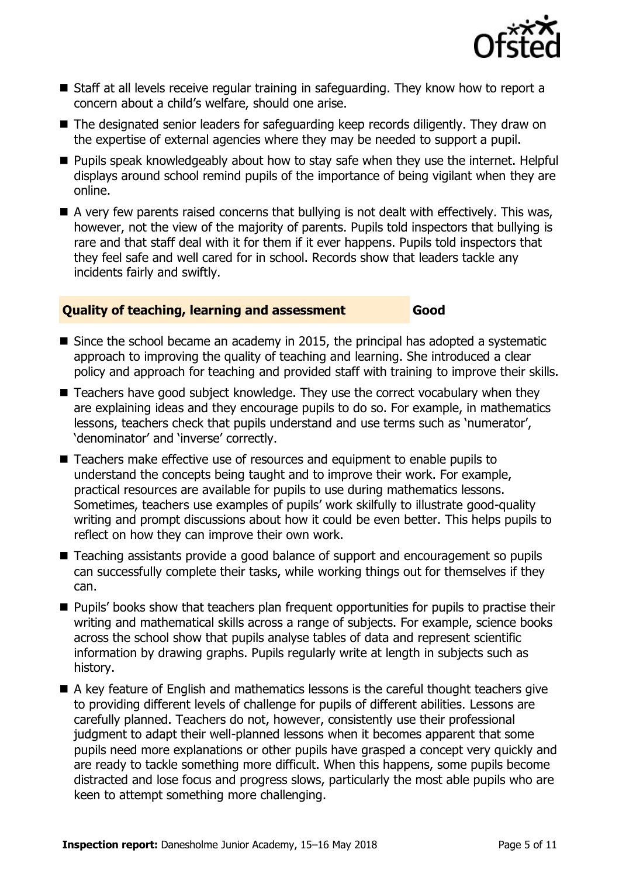

- Staff at all levels receive regular training in safeguarding. They know how to report a concern about a child's welfare, should one arise.
- The designated senior leaders for safeguarding keep records diligently. They draw on the expertise of external agencies where they may be needed to support a pupil.
- **Pupils speak knowledgeably about how to stay safe when they use the internet. Helpful** displays around school remind pupils of the importance of being vigilant when they are online.
- $\blacksquare$  A very few parents raised concerns that bullying is not dealt with effectively. This was, however, not the view of the majority of parents. Pupils told inspectors that bullying is rare and that staff deal with it for them if it ever happens. Pupils told inspectors that they feel safe and well cared for in school. Records show that leaders tackle any incidents fairly and swiftly.

#### **Quality of teaching, learning and assessment Good**

- Since the school became an academy in 2015, the principal has adopted a systematic approach to improving the quality of teaching and learning. She introduced a clear policy and approach for teaching and provided staff with training to improve their skills.
- Teachers have good subject knowledge. They use the correct vocabulary when they are explaining ideas and they encourage pupils to do so. For example, in mathematics lessons, teachers check that pupils understand and use terms such as 'numerator', 'denominator' and 'inverse' correctly.
- Teachers make effective use of resources and equipment to enable pupils to understand the concepts being taught and to improve their work. For example, practical resources are available for pupils to use during mathematics lessons. Sometimes, teachers use examples of pupils' work skilfully to illustrate good-quality writing and prompt discussions about how it could be even better. This helps pupils to reflect on how they can improve their own work.
- Teaching assistants provide a good balance of support and encouragement so pupils can successfully complete their tasks, while working things out for themselves if they can.
- **Pupils' books show that teachers plan frequent opportunities for pupils to practise their** writing and mathematical skills across a range of subjects. For example, science books across the school show that pupils analyse tables of data and represent scientific information by drawing graphs. Pupils regularly write at length in subjects such as history.
- A key feature of English and mathematics lessons is the careful thought teachers give to providing different levels of challenge for pupils of different abilities. Lessons are carefully planned. Teachers do not, however, consistently use their professional judgment to adapt their well-planned lessons when it becomes apparent that some pupils need more explanations or other pupils have grasped a concept very quickly and are ready to tackle something more difficult. When this happens, some pupils become distracted and lose focus and progress slows, particularly the most able pupils who are keen to attempt something more challenging.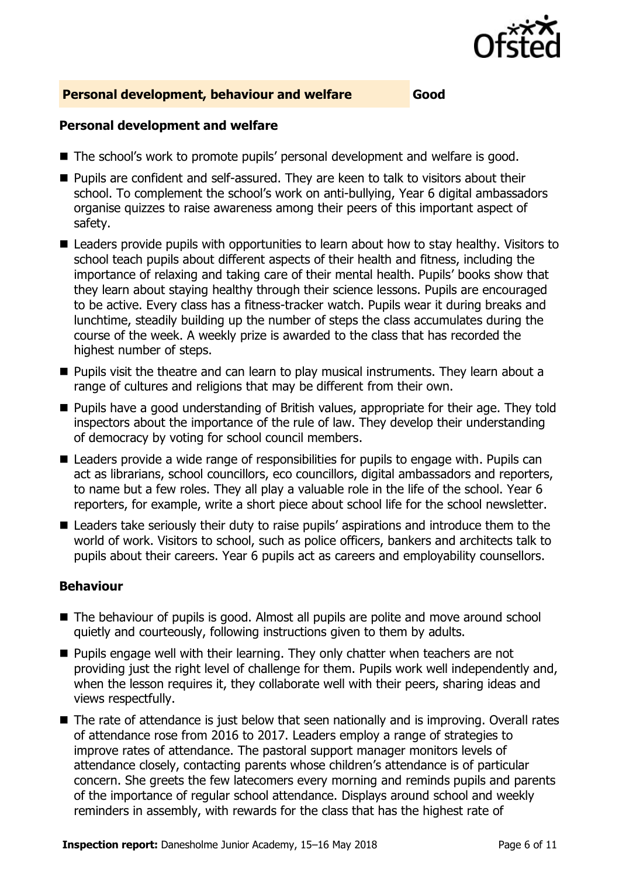

#### **Personal development, behaviour and welfare Good**

#### **Personal development and welfare**

- The school's work to promote pupils' personal development and welfare is good.
- Pupils are confident and self-assured. They are keen to talk to visitors about their school. To complement the school's work on anti-bullying, Year 6 digital ambassadors organise quizzes to raise awareness among their peers of this important aspect of safety.
- Leaders provide pupils with opportunities to learn about how to stay healthy. Visitors to school teach pupils about different aspects of their health and fitness, including the importance of relaxing and taking care of their mental health. Pupils' books show that they learn about staying healthy through their science lessons. Pupils are encouraged to be active. Every class has a fitness-tracker watch. Pupils wear it during breaks and lunchtime, steadily building up the number of steps the class accumulates during the course of the week. A weekly prize is awarded to the class that has recorded the highest number of steps.
- **Pupils visit the theatre and can learn to play musical instruments. They learn about a** range of cultures and religions that may be different from their own.
- Pupils have a good understanding of British values, appropriate for their age. They told inspectors about the importance of the rule of law. They develop their understanding of democracy by voting for school council members.
- Leaders provide a wide range of responsibilities for pupils to engage with. Pupils can act as librarians, school councillors, eco councillors, digital ambassadors and reporters, to name but a few roles. They all play a valuable role in the life of the school. Year 6 reporters, for example, write a short piece about school life for the school newsletter.
- Leaders take seriously their duty to raise pupils' aspirations and introduce them to the world of work. Visitors to school, such as police officers, bankers and architects talk to pupils about their careers. Year 6 pupils act as careers and employability counsellors.

#### **Behaviour**

- The behaviour of pupils is good. Almost all pupils are polite and move around school quietly and courteously, following instructions given to them by adults.
- **Pupils engage well with their learning. They only chatter when teachers are not** providing just the right level of challenge for them. Pupils work well independently and, when the lesson requires it, they collaborate well with their peers, sharing ideas and views respectfully.
- The rate of attendance is just below that seen nationally and is improving. Overall rates of attendance rose from 2016 to 2017. Leaders employ a range of strategies to improve rates of attendance. The pastoral support manager monitors levels of attendance closely, contacting parents whose children's attendance is of particular concern. She greets the few latecomers every morning and reminds pupils and parents of the importance of regular school attendance. Displays around school and weekly reminders in assembly, with rewards for the class that has the highest rate of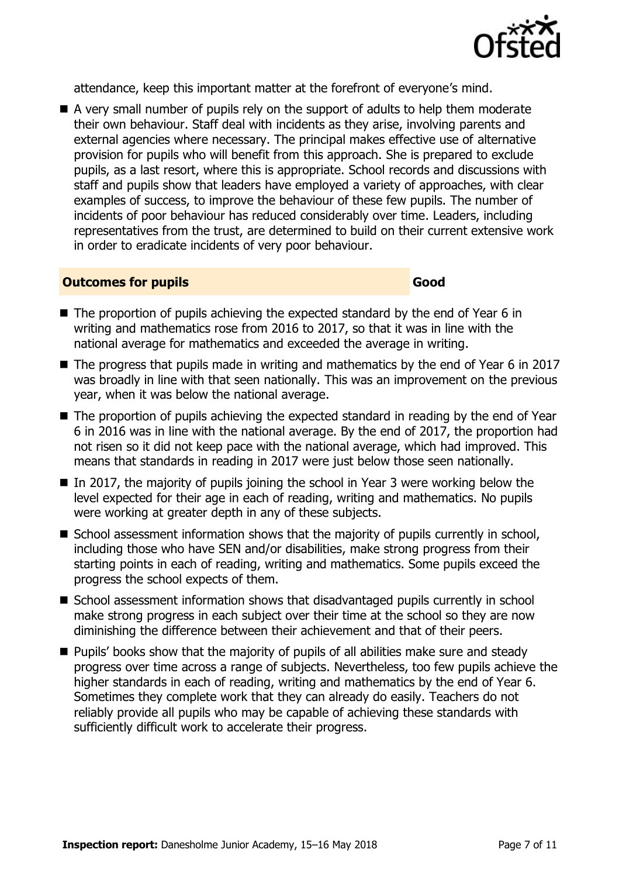

attendance, keep this important matter at the forefront of everyone's mind.

A very small number of pupils rely on the support of adults to help them moderate their own behaviour. Staff deal with incidents as they arise, involving parents and external agencies where necessary. The principal makes effective use of alternative provision for pupils who will benefit from this approach. She is prepared to exclude pupils, as a last resort, where this is appropriate. School records and discussions with staff and pupils show that leaders have employed a variety of approaches, with clear examples of success, to improve the behaviour of these few pupils. The number of incidents of poor behaviour has reduced considerably over time. Leaders, including representatives from the trust, are determined to build on their current extensive work in order to eradicate incidents of very poor behaviour.

#### **Outcomes for pupils Good**

- $\blacksquare$  The proportion of pupils achieving the expected standard by the end of Year 6 in writing and mathematics rose from 2016 to 2017, so that it was in line with the national average for mathematics and exceeded the average in writing.
- The progress that pupils made in writing and mathematics by the end of Year 6 in 2017 was broadly in line with that seen nationally. This was an improvement on the previous year, when it was below the national average.
- The proportion of pupils achieving the expected standard in reading by the end of Year 6 in 2016 was in line with the national average. By the end of 2017, the proportion had not risen so it did not keep pace with the national average, which had improved. This means that standards in reading in 2017 were just below those seen nationally.
- In 2017, the majority of pupils joining the school in Year 3 were working below the level expected for their age in each of reading, writing and mathematics. No pupils were working at greater depth in any of these subjects.
- $\blacksquare$  School assessment information shows that the majority of pupils currently in school, including those who have SEN and/or disabilities, make strong progress from their starting points in each of reading, writing and mathematics. Some pupils exceed the progress the school expects of them.
- School assessment information shows that disadvantaged pupils currently in school make strong progress in each subject over their time at the school so they are now diminishing the difference between their achievement and that of their peers.
- **Pupils' books show that the majority of pupils of all abilities make sure and steady** progress over time across a range of subjects. Nevertheless, too few pupils achieve the higher standards in each of reading, writing and mathematics by the end of Year 6. Sometimes they complete work that they can already do easily. Teachers do not reliably provide all pupils who may be capable of achieving these standards with sufficiently difficult work to accelerate their progress.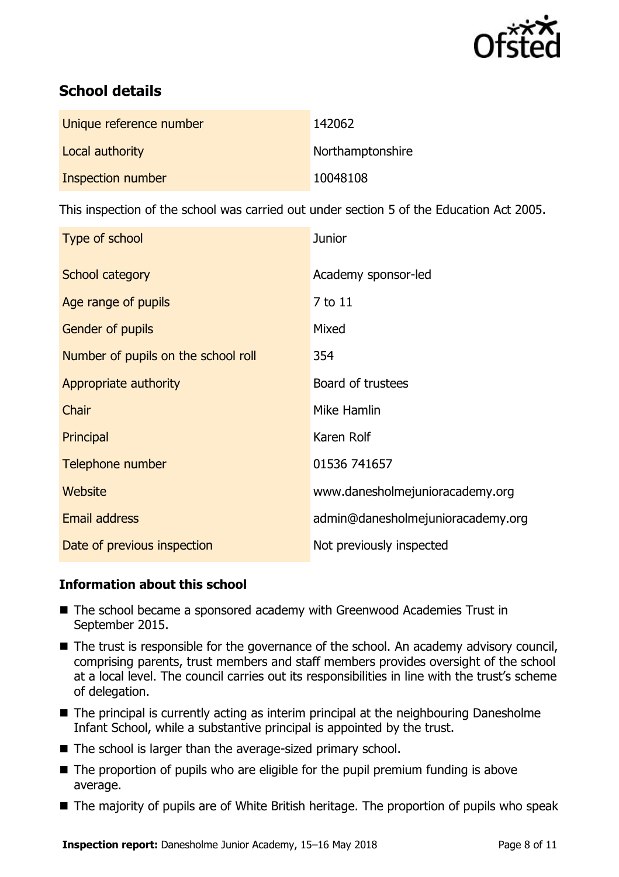

# **School details**

| Unique reference number | 142062           |
|-------------------------|------------------|
| Local authority         | Northamptonshire |
| Inspection number       | 10048108         |

This inspection of the school was carried out under section 5 of the Education Act 2005.

| Type of school                      | <b>Junior</b>                     |
|-------------------------------------|-----------------------------------|
| School category                     | Academy sponsor-led               |
| Age range of pupils                 | 7 to 11                           |
| Gender of pupils                    | Mixed                             |
| Number of pupils on the school roll | 354                               |
| Appropriate authority               | Board of trustees                 |
| Chair                               | Mike Hamlin                       |
| Principal                           | Karen Rolf                        |
| Telephone number                    | 01536 741657                      |
| Website                             | www.danesholmejunioracademy.org   |
| <b>Email address</b>                | admin@danesholmejunioracademy.org |
| Date of previous inspection         | Not previously inspected          |

### **Information about this school**

- The school became a sponsored academy with Greenwood Academies Trust in September 2015.
- The trust is responsible for the governance of the school. An academy advisory council, comprising parents, trust members and staff members provides oversight of the school at a local level. The council carries out its responsibilities in line with the trust's scheme of delegation.
- The principal is currently acting as interim principal at the neighbouring Danesholme Infant School, while a substantive principal is appointed by the trust.
- The school is larger than the average-sized primary school.
- $\blacksquare$  The proportion of pupils who are eligible for the pupil premium funding is above average.
- The majority of pupils are of White British heritage. The proportion of pupils who speak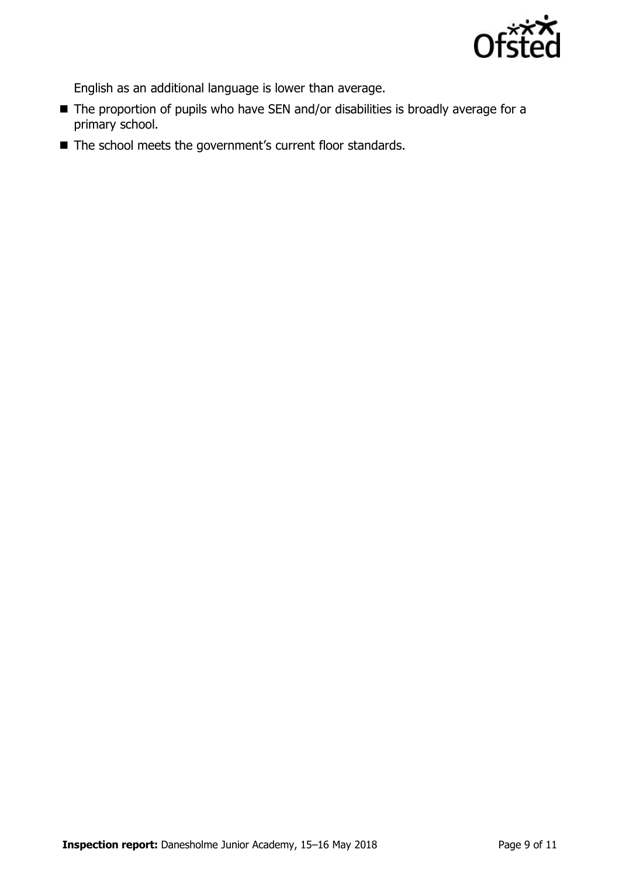

English as an additional language is lower than average.

- The proportion of pupils who have SEN and/or disabilities is broadly average for a primary school.
- The school meets the government's current floor standards.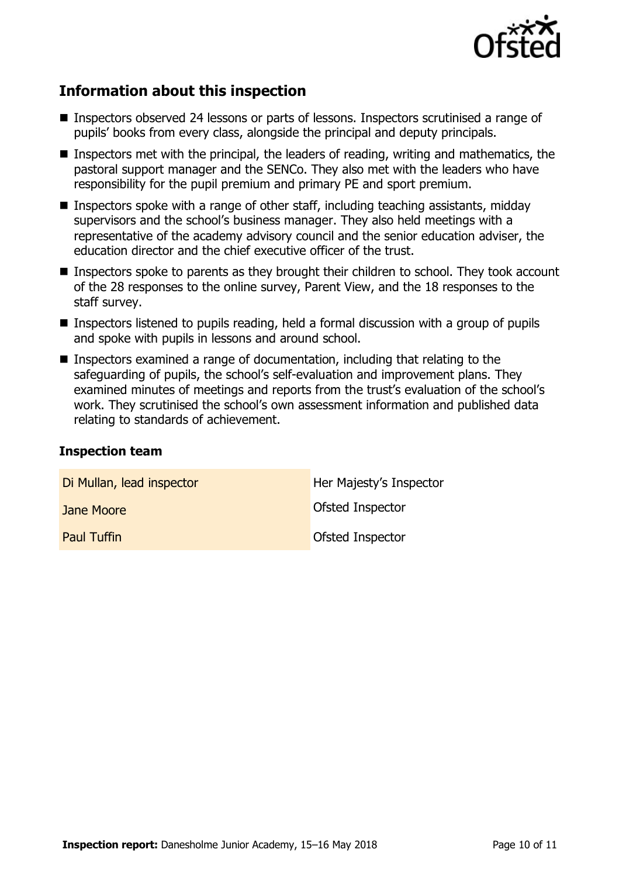

## **Information about this inspection**

- Inspectors observed 24 lessons or parts of lessons. Inspectors scrutinised a range of pupils' books from every class, alongside the principal and deputy principals.
- Inspectors met with the principal, the leaders of reading, writing and mathematics, the pastoral support manager and the SENCo. They also met with the leaders who have responsibility for the pupil premium and primary PE and sport premium.
- Inspectors spoke with a range of other staff, including teaching assistants, midday supervisors and the school's business manager. They also held meetings with a representative of the academy advisory council and the senior education adviser, the education director and the chief executive officer of the trust.
- If Inspectors spoke to parents as they brought their children to school. They took account of the 28 responses to the online survey, Parent View, and the 18 responses to the staff survey.
- **Inspectors listened to pupils reading, held a formal discussion with a group of pupils** and spoke with pupils in lessons and around school.
- Inspectors examined a range of documentation, including that relating to the safeguarding of pupils, the school's self-evaluation and improvement plans. They examined minutes of meetings and reports from the trust's evaluation of the school's work. They scrutinised the school's own assessment information and published data relating to standards of achievement.

#### **Inspection team**

| Di Mullan, lead inspector | Her Majesty's Inspector |
|---------------------------|-------------------------|
| Jane Moore                | Ofsted Inspector        |
| <b>Paul Tuffin</b>        | Ofsted Inspector        |